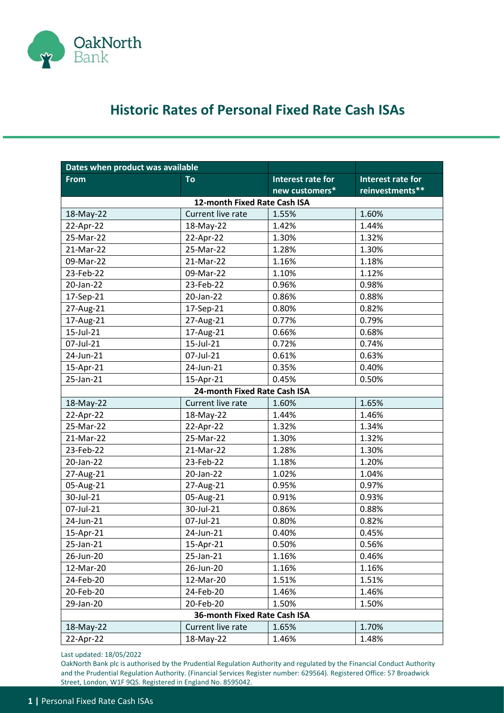

## **Historic Rates of Personal Fixed Rate Cash ISAs**

| Dates when product was available |                              |                   |                          |  |
|----------------------------------|------------------------------|-------------------|--------------------------|--|
| <b>From</b>                      | To                           | Interest rate for | <b>Interest rate for</b> |  |
|                                  |                              | new customers*    | reinvestments**          |  |
| 12-month Fixed Rate Cash ISA     |                              |                   |                          |  |
| 18-May-22                        | Current live rate            | 1.55%             | 1.60%                    |  |
| 22-Apr-22                        | 18-May-22                    | 1.42%             | 1.44%                    |  |
| 25-Mar-22                        | 22-Apr-22                    | 1.30%             | 1.32%                    |  |
| 21-Mar-22                        | 25-Mar-22                    | 1.28%             | 1.30%                    |  |
| 09-Mar-22                        | 21-Mar-22                    | 1.16%             | 1.18%                    |  |
| 23-Feb-22                        | 09-Mar-22                    | 1.10%             | 1.12%                    |  |
| 20-Jan-22                        | 23-Feb-22                    | 0.96%             | 0.98%                    |  |
| 17-Sep-21                        | 20-Jan-22                    | 0.86%             | 0.88%                    |  |
| 27-Aug-21                        | 17-Sep-21                    | 0.80%             | 0.82%                    |  |
| 17-Aug-21                        | 27-Aug-21                    | 0.77%             | 0.79%                    |  |
| 15-Jul-21                        | 17-Aug-21                    | 0.66%             | 0.68%                    |  |
| 07-Jul-21                        | 15-Jul-21                    | 0.72%             | 0.74%                    |  |
| 24-Jun-21                        | 07-Jul-21                    | 0.61%             | 0.63%                    |  |
| 15-Apr-21                        | 24-Jun-21                    | 0.35%             | 0.40%                    |  |
| 25-Jan-21                        | 15-Apr-21                    | 0.45%             | 0.50%                    |  |
|                                  | 24-month Fixed Rate Cash ISA |                   |                          |  |
| 18-May-22                        | Current live rate            | 1.60%             | 1.65%                    |  |
| 22-Apr-22                        | 18-May-22                    | 1.44%             | 1.46%                    |  |
| 25-Mar-22                        | 22-Apr-22                    | 1.32%             | 1.34%                    |  |
| 21-Mar-22                        | 25-Mar-22                    | 1.30%             | 1.32%                    |  |
| 23-Feb-22                        | 21-Mar-22                    | 1.28%             | 1.30%                    |  |
| 20-Jan-22                        | 23-Feb-22                    | 1.18%             | 1.20%                    |  |
| 27-Aug-21                        | 20-Jan-22                    | 1.02%             | 1.04%                    |  |
| 05-Aug-21                        | 27-Aug-21                    | 0.95%             | 0.97%                    |  |
| 30-Jul-21                        | 05-Aug-21                    | 0.91%             | 0.93%                    |  |
| 07-Jul-21                        | 30-Jul-21                    | 0.86%             | 0.88%                    |  |
| 24-Jun-21                        | 07-Jul-21                    | 0.80%             | 0.82%                    |  |
| 15-Apr-21                        | 24-Jun-21                    | 0.40%             | 0.45%                    |  |
| 25-Jan-21                        | 15-Apr-21                    | 0.50%             | 0.56%                    |  |
| 26-Jun-20                        | 25-Jan-21                    | 1.16%             | 0.46%                    |  |
| 12-Mar-20                        | 26-Jun-20                    | 1.16%             | 1.16%                    |  |
| 24-Feb-20                        | 12-Mar-20                    | 1.51%             | 1.51%                    |  |
| 20-Feb-20                        | 24-Feb-20                    | 1.46%             | 1.46%                    |  |
| 29-Jan-20                        | 20-Feb-20                    | 1.50%             | 1.50%                    |  |
| 36-month Fixed Rate Cash ISA     |                              |                   |                          |  |
| 18-May-22                        | Current live rate            | 1.65%             | 1.70%                    |  |
| 22-Apr-22                        | 18-May-22                    | 1.46%             | 1.48%                    |  |

Last updated: 18/05/2022

OakNorth Bank plc is authorised by the Prudential Regulation Authority and regulated by the Financial Conduct Authority and the Prudential Regulation Authority. (Financial Services Register number: 629564). Registered Office: 57 Broadwick Street, London, W1F 9QS. Registered in England No. 8595042.